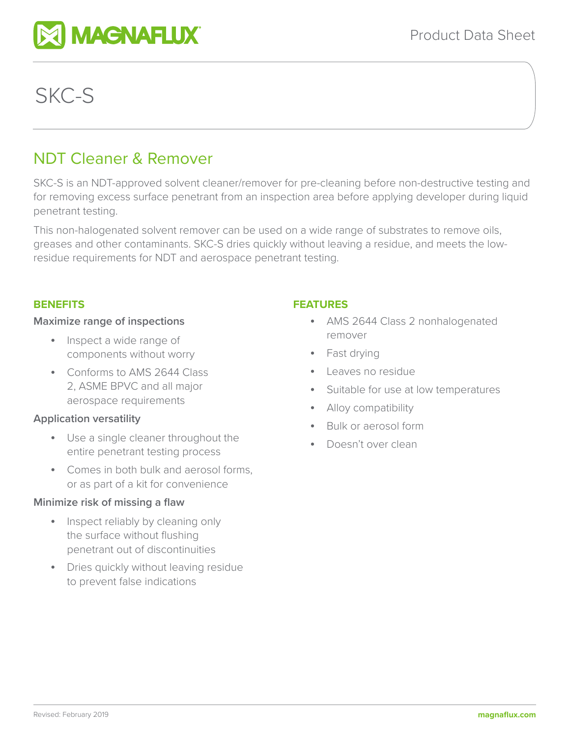



# SKC-S

# NDT Cleaner & Remover

SKC-S is an NDT-approved solvent cleaner/remover for pre-cleaning before non-destructive testing and for removing excess surface penetrant from an inspection area before applying developer during liquid penetrant testing.

This non-halogenated solvent remover can be used on a wide range of substrates to remove oils, greases and other contaminants. SKC-S dries quickly without leaving a residue, and meets the lowresidue requirements for NDT and aerospace penetrant testing.

#### **BENEFITS**

#### **Maximize range of inspections**

- Inspect a wide range of components without worry
- Conforms to AMS 2644 Class 2, ASME BPVC and all major aerospace requirements

# **Application versatility**

- Use a single cleaner throughout the entire penetrant testing process
- Comes in both bulk and aerosol forms, or as part of a kit for convenience

#### **Minimize risk of missing a flaw**

- Inspect reliably by cleaning only the surface without flushing penetrant out of discontinuities
- Dries quickly without leaving residue to prevent false indications

#### **FEATURES**

- AMS 2644 Class 2 nonhalogenated remover
- Fast drying
- Leaves no residue
- Suitable for use at low temperatures
- Alloy compatibility
- Bulk or aerosol form
- Doesn't over clean